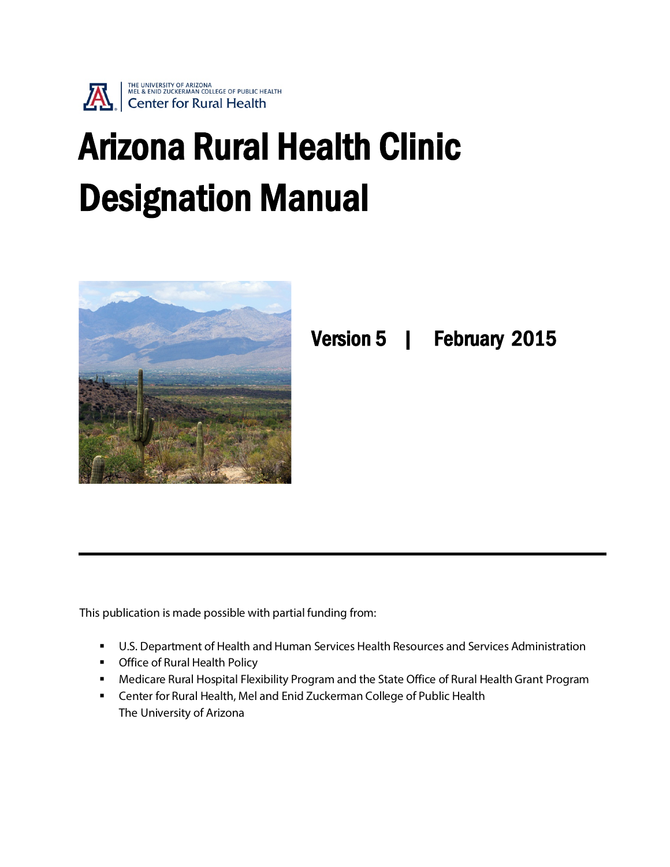

# Arizona Rural Health Clinic Designation Manual



Version 5 | February 2015

This publication is made possible with partial funding from:

- U.S. Department of Health and Human Services Health Resources and Services Administration
- **•** Office of Rural Health Policy
- Medicare Rural Hospital Flexibility Program and the State Office of Rural Health Grant Program
- Center for Rural Health, Mel and Enid Zuckerman College of Public Health The University of Arizona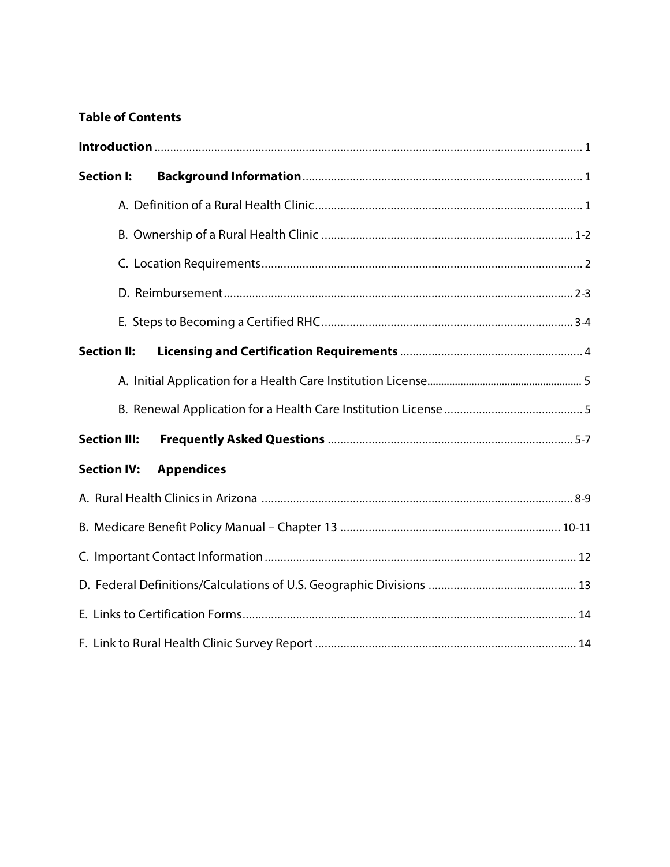# **Table of Contents**

| <b>Section I:</b>   |                   |  |
|---------------------|-------------------|--|
|                     |                   |  |
|                     |                   |  |
|                     |                   |  |
|                     |                   |  |
|                     |                   |  |
| <b>Section II:</b>  |                   |  |
|                     |                   |  |
|                     |                   |  |
| <b>Section III:</b> |                   |  |
| <b>Section IV:</b>  | <b>Appendices</b> |  |
|                     |                   |  |
|                     |                   |  |
|                     |                   |  |
|                     |                   |  |
|                     |                   |  |
|                     |                   |  |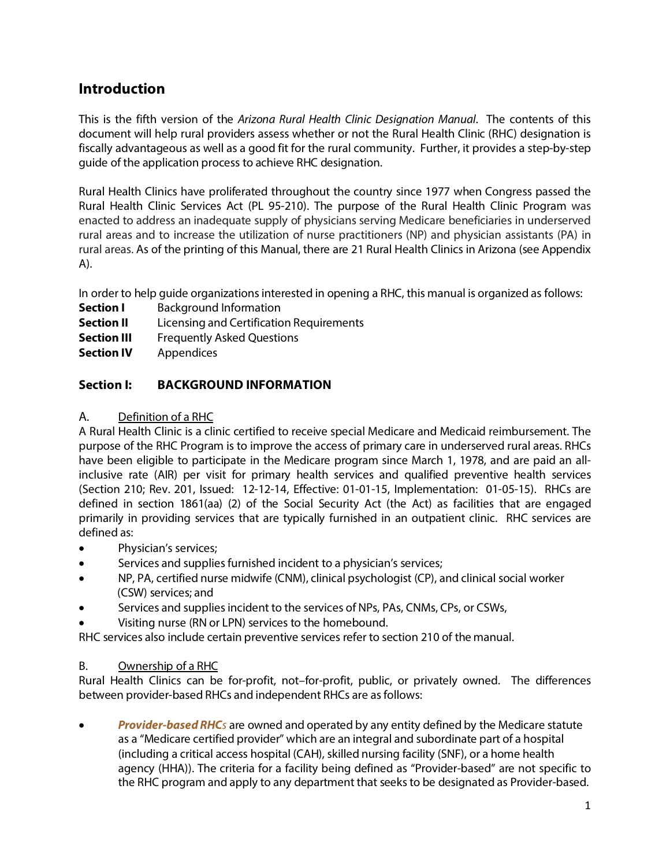# **Introduction**

This is the fifth version of the *Arizona Rural Health Clinic Designation Manual*. The contents of this document will help rural providers assess whether or not the Rural Health Clinic (RHC) designation is fiscally advantageous as well as a good fit for the rural community. Further, it provides a step-by-step guide of the application process to achieve RHC designation.

Rural Health Clinics have proliferated throughout the country since 1977 when Congress passed the Rural Health Clinic Services Act (PL 95-210). The purpose of the Rural Health Clinic Program was enacted to address an inadequate supply of physicians serving Medicare beneficiaries in underserved rural areas and to increase the utilization of nurse practitioners (NP) and physician assistants (PA) in rural areas. As of the printing of this Manual, there are 21 Rural Health Clinics in Arizona (see Appendix A).

In order to help guide organizations interested in opening a RHC, this manual is organized as follows:

- **Section I** Background Information
- **Section II** Licensing and Certification Requirements
- **Section III** Frequently Asked Questions
- **Section IV** Appendices

# **Section I: BACKGROUND INFORMATION**

A. Definition of a RHC

A Rural Health Clinic is a clinic certified to receive special Medicare and Medicaid reimbursement. The purpose of the RHC Program is to improve the access of primary care in underserved rural areas. RHCs have been eligible to participate in the Medicare program since March 1, 1978, and are paid an allinclusive rate (AIR) per visit for primary health services and qualified preventive health services (Section 210; Rev. 201, Issued: 12-12-14, Effective: 01-01-15, Implementation: 01-05-15). RHCs are defined in section 1861(aa) (2) of the Social Security Act (the Act) as facilities that are engaged primarily in providing services that are typically furnished in an outpatient clinic. RHC services are defined as:

- Physician's services;
- Services and supplies furnished incident to a physician's services;
- NP, PA, certified nurse midwife (CNM), clinical psychologist (CP), and clinical social worker (CSW) services; and
- Services and supplies incident to the services of NPs, PAs, CNMs, CPs, or CSWs,
- Visiting nurse (RN or LPN) services to the homebound.

RHC services also include certain preventive services refer to section 210 of the manual.

#### B. Ownership of a RHC

Rural Health Clinics can be for-profit, not–for-profit, public, or privately owned. The differences between provider-based RHCs and independent RHCs are as follows:

• *Provider-based RHCs* are owned and operated by any entity defined by the Medicare statute as a "Medicare certified provider" which are an integral and subordinate part of a hospital (including a critical access hospital (CAH), skilled nursing facility (SNF), or a home health agency (HHA)). The criteria for a facility being defined as "Provider-based" are not specific to the RHC program and apply to any department that seeks to be designated as Provider-based.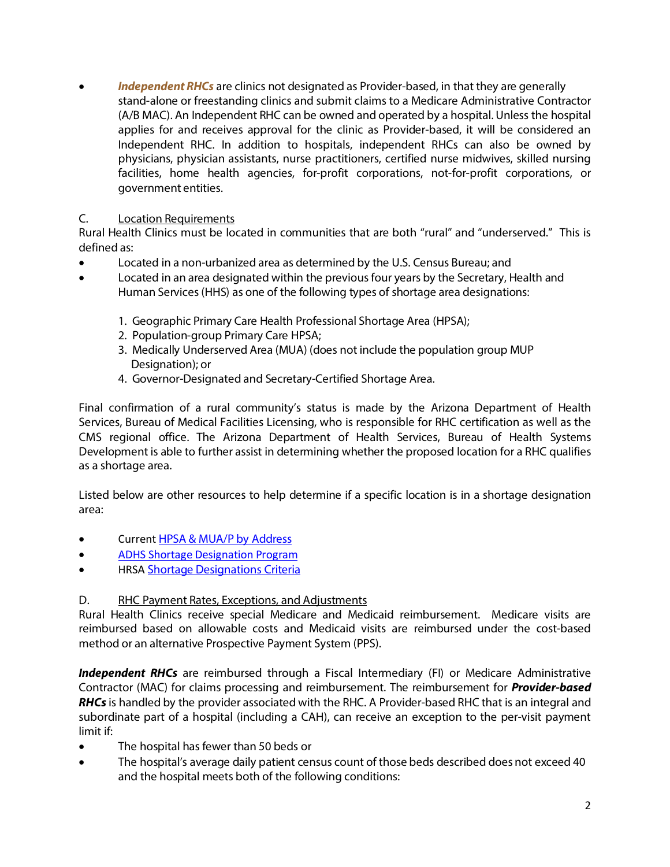• *Independent RHCs* are clinics not designated as Provider-based, in that they are generally stand-alone or freestanding clinics and submit claims to a Medicare Administrative Contractor (A/B MAC). An Independent RHC can be owned and operated by a hospital. Unless the hospital applies for and receives approval for the clinic as Provider-based, it will be considered an Independent RHC. In addition to hospitals, independent RHCs can also be owned by physicians, physician assistants, nurse practitioners, certified nurse midwives, skilled nursing facilities, home health agencies, for-profit corporations, not-for-profit corporations, or government entities.

# C. Location Requirements

Rural Health Clinics must be located in communities that are both "rural" and "underserved." This is defined as:

- Located in a non-urbanized area as determined by the U.S. Census Bureau; and
- Located in an area designated within the previous four years by the Secretary, Health and Human Services (HHS) as one of the following types of shortage area designations:
	- 1. Geographic Primary Care Health Professional Shortage Area (HPSA);
	- 2. Population-group Primary Care HPSA;
	- 3. Medically Underserved Area (MUA) (does not include the population group MUP Designation); or
	- 4. Governor-Designated and Secretary-Certified Shortage Area.

Final confirmation of a rural community's status is made by the Arizona Department of Health Services, Bureau of Medical Facilities Licensing, who is responsible for RHC certification as well as the CMS regional office. The Arizona Department of Health Services, Bureau of Health Systems Development is able to further assist in determining whether the proposed location for a RHC qualifies as a shortage area.

Listed below are other resources to help determine if a specific location is in a shortage designation area:

- Current [HPSA & MUA/P by Address](http://datawarehouse.hrsa.gov/GeoAdvisor/ShortageDesignationAdvisor.aspx)
- [ADHS Shortage Designation Program](http://www.azdhs.gov/hsd/shortage/index.htm)
- HRSA [Shortage Designations Criteria](http://www.hrsa.gov/shortage/)

# D. RHC Payment Rates, Exceptions, and Adjustments

Rural Health Clinics receive special Medicare and Medicaid reimbursement. Medicare visits are reimbursed based on allowable costs and Medicaid visits are reimbursed under the cost-based method or an alternative Prospective Payment System (PPS).

**Independent RHCs** are reimbursed through a Fiscal Intermediary (FI) or Medicare Administrative Contractor (MAC) for claims processing and reimbursement. The reimbursement for *Provider-based RHCs* is handled by the provider associated with the RHC. A Provider-based RHC that is an integral and subordinate part of a hospital (including a CAH), can receive an exception to the per-visit payment limit if:

- The hospital has fewer than 50 beds or
- The hospital's average daily patient census count of those beds described does not exceed 40 and the hospital meets both of the following conditions: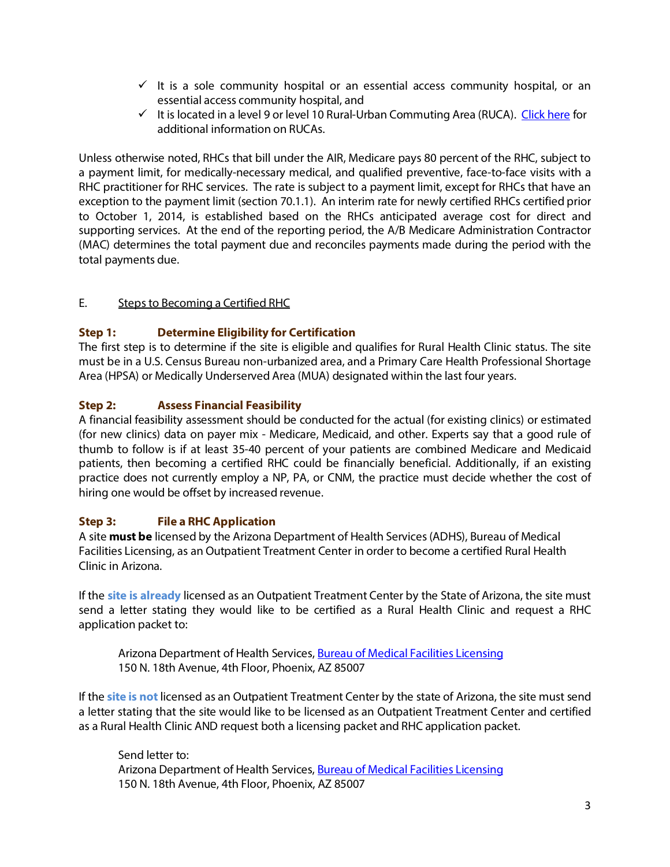- $\checkmark$  It is a sole community hospital or an essential access community hospital, or an essential access community hospital, and
- It is located in a level 9 or level 10 Rural-Urban Commuting Area (RUCA). [Click here](http://depts.washington.edu/uwruca/) for additional information on RUCAs.

Unless otherwise noted, RHCs that bill under the AIR, Medicare pays 80 percent of the RHC, subject to a payment limit, for medically-necessary medical, and qualified preventive, face-to-face visits with a RHC practitioner for RHC services. The rate is subject to a payment limit, except for RHCs that have an exception to the payment limit (section 70.1.1). An interim rate for newly certified RHCs certified prior to October 1, 2014, is established based on the RHCs anticipated average cost for direct and supporting services. At the end of the reporting period, the A/B Medicare Administration Contractor (MAC) determines the total payment due and reconciles payments made during the period with the total payments due.

## E. Steps to Becoming a Certified RHC

## **Step 1: Determine Eligibility for Certification**

The first step is to determine if the site is eligible and qualifies for Rural Health Clinic status. The site must be in a U.S. Census Bureau non-urbanized area, and a Primary Care Health Professional Shortage Area (HPSA) or Medically Underserved Area (MUA) designated within the last four years.

## **Step 2: Assess Financial Feasibility**

A financial feasibility assessment should be conducted for the actual (for existing clinics) or estimated (for new clinics) data on payer mix - Medicare, Medicaid, and other. Experts say that a good rule of thumb to follow is if at least 35-40 percent of your patients are combined Medicare and Medicaid patients, then becoming a certified RHC could be financially beneficial. Additionally, if an existing practice does not currently employ a NP, PA, or CNM, the practice must decide whether the cost of hiring one would be offset by increased revenue.

#### **Step 3: File a RHC Application**

A site **must be** licensed by the Arizona Department of Health Services(ADHS), Bureau of Medical Facilities Licensing, as an Outpatient Treatment Center in order to become a certified Rural Health Clinic in Arizona.

If the **site is already** licensed as an Outpatient Treatment Center by the State of Arizona, the site must send a letter stating they would like to be certified as a Rural Health Clinic and request a RHC application packet to:

Arizona Department of Health Services, **Bureau of Medical Facilities Licensing** 150 N. 18th Avenue, 4th Floor, Phoenix, AZ 85007

If the **site is not**licensed as an Outpatient Treatment Center by the state of Arizona, the site must send a letter stating that the site would like to be licensed as an Outpatient Treatment Center and certified as a Rural Health Clinic AND request both a licensing packet and RHC application packet.

Send letter to: Arizona Department of Health Services, [Bureau of Medical Facilities Licensing](http://www.azdhs.gov/als/medical/index.htm) 150 N. 18th Avenue, 4th Floor, Phoenix, AZ 85007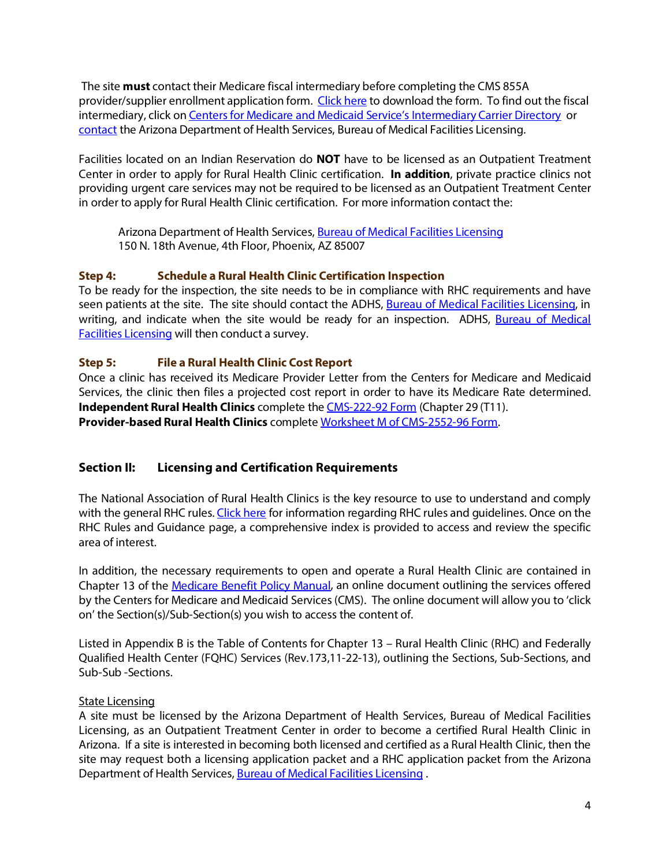The site **must** contact their Medicare fiscal intermediary before completing the CMS 855A provider/supplier enrollment application form. [Click here](http://www.cms.gov/Medicare/CMS-Forms/CMS-Forms/Downloads/cms855a.pdf) to download the form. To find out the fiscal intermediary, click o[n Centers for Medicare and Medicaid Service's Intermediary Carrier Directory](http://www.cms.hhs.gov/ContractingGeneralInformation/Downloads/02_ICdirectory.pdf) or [contact](http://www.azdhs.gov/als/contacts.htm) the Arizona Department of Health Services, Bureau of Medical Facilities Licensing.

Facilities located on an Indian Reservation do **NOT** have to be licensed as an Outpatient Treatment Center in order to apply for Rural Health Clinic certification. **In addition**, private practice clinics not providing urgent care services may not be required to be licensed as an Outpatient Treatment Center in order to apply for Rural Health Clinic certification. For more information contact the:

Arizona Department of Health Services, **Bureau of Medical Facilities Licensing** 150 N. 18th Avenue, 4th Floor, Phoenix, AZ 85007

#### **Step 4: Schedule a Rural Health Clinic Certification Inspection**

To be ready for the inspection, the site needs to be in compliance with RHC requirements and have seen patients at the site. The site should contact the ADHS, [Bureau of Medical Facilities Licensing,](http://www.azdhs.gov/als/medical/index.htm) in writing, and indicate when the site would be ready for an inspection. ADHS, Bureau of Medical [Facilities Licensing](http://www.azdhs.gov/als/medical/index.htm) will then conduct a survey.

#### **Step 5: File a Rural Health Clinic Cost Report**

Once a clinic has received its Medicare Provider Letter from the Centers for Medicare and Medicaid Services, the clinic then files a projected cost report in order to have its Medicare Rate determined. **Independent Rural Health Clinics** complete th[e CMS-222-92 Form](http://www.cms.gov/Regulations-and-Guidance/Guidance/Manuals/Paper-Based-Manuals-Items/CMS021935.html) (Chapter 29 (T11). **Provider-based Rural Health Clinics** complete [Worksheet M of CMS-2552-96 Form.](http://www.cms.gov/Medicare/CMS-Forms/CMS-Forms/CMS-Forms-Items/CMS019505.html?DLPage=8&DLSort=0&DLSortDir=ascending)

#### **Section II: Licensing and Certification Requirements**

The National Association of Rural Health Clinics is the key resource to use to understand and comply with the general RHC rules[. Click here](http://narhc.org/resources/rhc-rules-and-guidelines/) for information regarding RHC rules and guidelines. Once on the RHC Rules and Guidance page, a comprehensive index is provided to access and review the specific area of interest.

In addition, the necessary requirements to open and operate a Rural Health Clinic are contained in Chapter 13 of the [Medicare Benefit Policy Manual,](http://www.cms.gov/Regulations-and-Guidance/Guidance/Manuals/Downloads/bp102c13.pdf) an online document outlining the services offered by the Centers for Medicare and Medicaid Services (CMS). The online document will allow you to 'click on' the Section(s)/Sub-Section(s) you wish to access the content of.

Listed in Appendix B is the Table of Contents for Chapter 13 – Rural Health Clinic (RHC) and Federally Qualified Health Center (FQHC) Services (Rev.173,11-22-13), outlining the Sections, Sub-Sections, and Sub-Sub -Sections.

#### State Licensing

A site must be licensed by the Arizona Department of Health Services, Bureau of Medical Facilities Licensing, as an Outpatient Treatment Center in order to become a certified Rural Health Clinic in Arizona. If a site is interested in becoming both licensed and certified as a Rural Health Clinic, then the site may request both a licensing application packet and a RHC application packet from the Arizona Department of Health Services[, Bureau of Medical Facilities Licensing](http://www.azdhs.gov/als/medical/index.htm).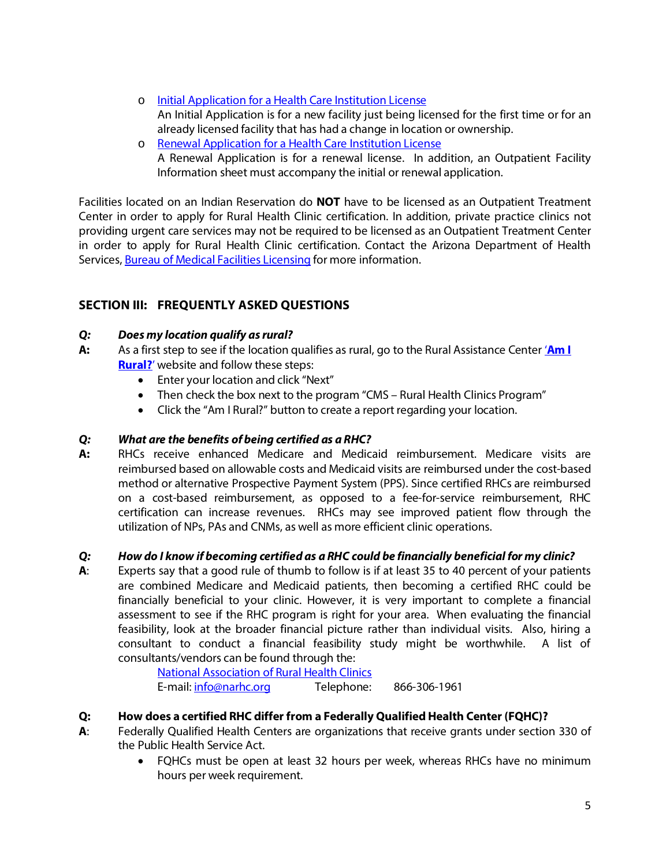- o [Initial Application for a Health Care Institution License](http://www.azdhs.gov/als/forms/residential/hci-residential-initial-application.pdf) An Initial Application is for a new facility just being licensed for the first time or for an already licensed facility that has had a change in location or ownership.
- o [Renewal Application for a Health Care Institution License](http://www.azdhs.gov/als/forms/medical/hci-medical-renewal-application.pdf) A Renewal Application is for a renewal license. In addition, an Outpatient Facility Information sheet must accompany the initial or renewal application.

Facilities located on an Indian Reservation do **NOT** have to be licensed as an Outpatient Treatment Center in order to apply for Rural Health Clinic certification. In addition, private practice clinics not providing urgent care services may not be required to be licensed as an Outpatient Treatment Center in order to apply for Rural Health Clinic certification. Contact the Arizona Department of Health Services, [Bureau of Medical Facilities Licensing](http://www.azdhs.gov/als/medical/index.htm) for more information.

# **SECTION III: FREQUENTLY ASKED QUESTIONS**

# *Q: Does my location qualify as rural?*

- **A:** As a first step to see if the location qualifies as rural, go to the Rural Assistance Center '**[Am I](http://www.raconline.org/amirural/)  [Rural?](http://www.raconline.org/amirural/)**' website and follow these steps:
	- Enter your location and click "Next"
	- Then check the box next to the program "CMS Rural Health Clinics Program"
	- Click the "Am I Rural?" button to create a report regarding your location.

# *Q: What are the benefits of being certified as a RHC?*

**A:** RHCs receive enhanced Medicare and Medicaid reimbursement. Medicare visits are reimbursed based on allowable costs and Medicaid visits are reimbursed under the cost-based method or alternative Prospective Payment System (PPS). Since certified RHCs are reimbursed on a cost-based reimbursement, as opposed to a fee-for-service reimbursement, RHC certification can increase revenues. RHCs may see improved patient flow through the utilization of NPs, PAs and CNMs, as well as more efficient clinic operations.

# *Q: How do I know if becoming certified as a RHC could be financially beneficial for my clinic?*

**A**: Experts say that a good rule of thumb to follow is if at least 35 to 40 percent of your patients are combined Medicare and Medicaid patients, then becoming a certified RHC could be financially beneficial to your clinic. However, it is very important to complete a financial assessment to see if the RHC program is right for your area. When evaluating the financial feasibility, look at the broader financial picture rather than individual visits. Also, hiring a consultant to conduct a financial feasibility study might be worthwhile. A list of consultants/vendors can be found through the:

[National Association of Rural Health Clinics](http://narhc.org/narhc-partners/consultants-vendors/)  E-mail[: info@narhc.org](mailto:info@narhc.org) Telephone: 866-306-1961

# **Q: How does a certified RHC differ from a Federally Qualified Health Center (FQHC)?**

- **A**: Federally Qualified Health Centers are organizations that receive grants under section 330 of the Public Health Service Act.
	- FQHCs must be open at least 32 hours per week, whereas RHCs have no minimum hours per week requirement.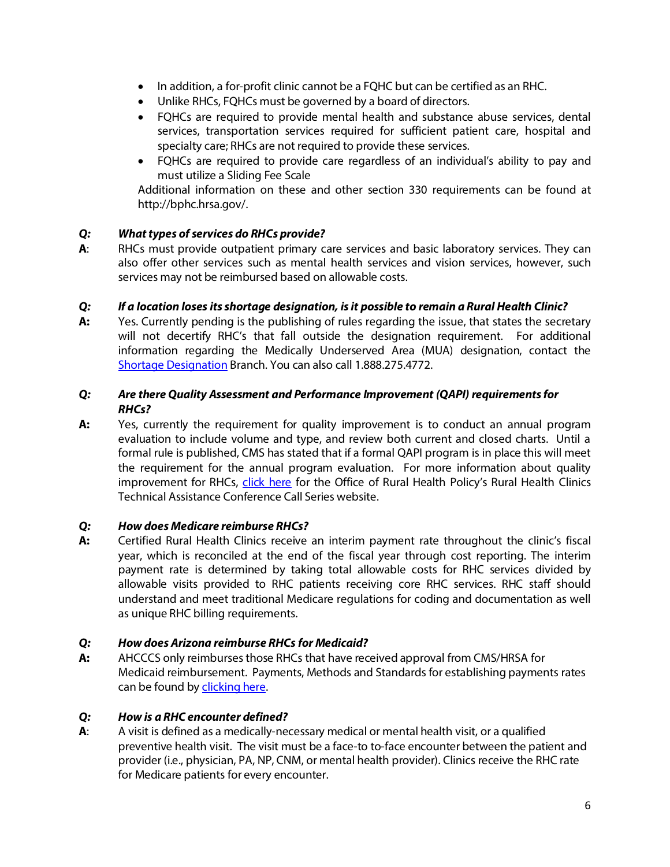- In addition, a for-profit clinic cannot be a FQHC but can be certified as an RHC.
- Unlike RHCs, FQHCs must be governed by a board of directors.
- FQHCs are required to provide mental health and substance abuse services, dental services, transportation services required for sufficient patient care, hospital and specialty care; RHCs are not required to provide these services.
- FQHCs are required to provide care regardless of an individual's ability to pay and must utilize a Sliding Fee Scale

Additional information on these and other section 330 requirements can be found at http://bphc.hrsa.gov/.

## *Q: What types of services do RHCs provide?*

**A**: RHCs must provide outpatient primary care services and basic laboratory services. They can also offer other services such as mental health services and vision services, however, such services may not be reimbursed based on allowable costs.

#### *Q: If a location loses its shortage designation, is it possible to remain a Rural Health Clinic?*

**A:** Yes. Currently pending is the publishing of rules regarding the issue, that states the secretary will not decertify RHC's that fall outside the designation requirement. For additional information regarding the Medically Underserved Area (MUA) designation, contact the [Shortage Designation](http://www.hrsa.gov/shortage/) Branch. You can also call 1.888.275.4772.

#### *Q: Are there Quality Assessment and Performance Improvement (QAPI) requirements for RHCs?*

**A:** Yes, currently the requirement for quality improvement is to conduct an annual program evaluation to include volume and type, and review both current and closed charts. Until a formal rule is published, CMS has stated that if a formal QAPI program is in place this will meet the requirement for the annual program evaluation. For more information about quality improvement for RHCs, [click here](http://www.hrsa.gov/ruralhealth/policy/confcall/index.html) for the Office of Rural Health Policy's Rural Health Clinics Technical Assistance Conference Call Series website.

#### *Q: How does Medicare reimburse RHCs?*

**A:** Certified Rural Health Clinics receive an interim payment rate throughout the clinic's fiscal year, which is reconciled at the end of the fiscal year through cost reporting. The interim payment rate is determined by taking total allowable costs for RHC services divided by allowable visits provided to RHC patients receiving core RHC services. RHC staff should understand and meet traditional Medicare regulations for coding and documentation as well as unique RHC billing requirements.

# *Q: How does Arizona reimburse RHCs for Medicaid?*

**A:** AHCCCS only reimburses those RHCs that have received approval from CMS/HRSA for Medicaid reimbursement. Payments, Methods and Standards for establishing payments rates can be found b[y clicking here.](http://www.azahcccs.gov/commercial/FQHC-RHC.aspx)

# *Q: How is a RHC encounter defined?*

**A**: A visit is defined as a medically-necessary medical or mental health visit, or a qualified preventive health visit. The visit must be a face-to to-face encounter between the patient and provider (i.e., physician, PA, NP, CNM, or mental health provider). Clinics receive the RHC rate for Medicare patients for every encounter.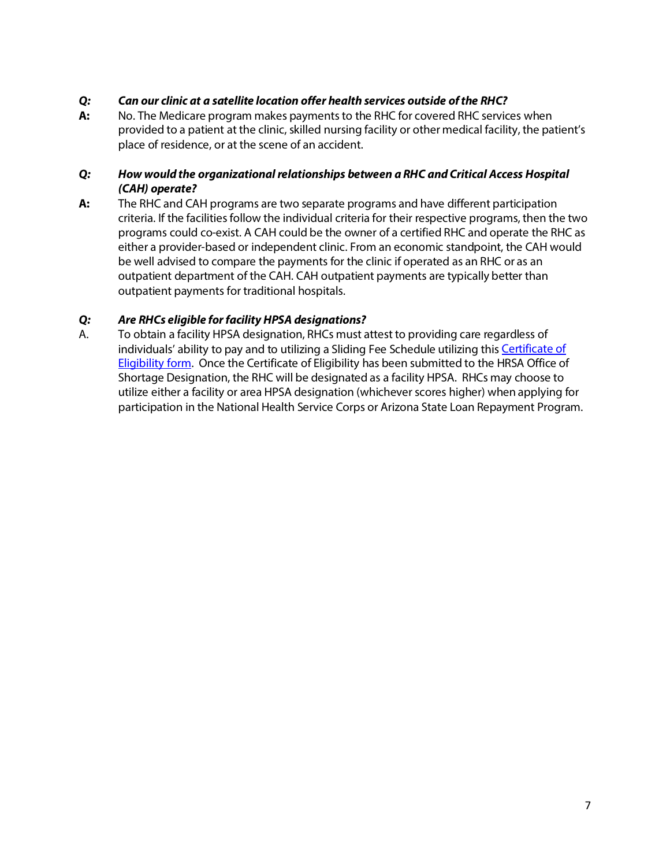## *Q: Can our clinic at a satellite location offer health services outside of the RHC?*

**A:** No. The Medicare program makes payments to the RHC for covered RHC services when provided to a patient at the clinic, skilled nursing facility or other medical facility, the patient's place of residence, or at the scene of an accident.

#### *Q: How would the organizational relationships between a RHC and Critical Access Hospital (CAH) operate?*

**A:** The RHC and CAH programs are two separate programs and have different participation criteria. If the facilities follow the individual criteria for their respective programs, then the two programs could co-exist. A CAH could be the owner of a certified RHC and operate the RHC as either a provider-based or independent clinic. From an economic standpoint, the CAH would be well advised to compare the payments for the clinic if operated as an RHC or as an outpatient department of the CAH. CAH outpatient payments are typically better than outpatient payments for traditional hospitals.

#### *Q: Are RHCs eligible for facility HPSA designations?*

A. To obtain a facility HPSA designation, RHCs must attest to providing care regardless of individuals' ability to pay and to utilizing a Sliding Fee Schedule utilizing thi[s Certificate of](http://www.azdhs.gov/hsd/shortage/documents/automatic-hpsa-rhc.pdf)  [Eligibility form.](http://www.azdhs.gov/hsd/shortage/documents/automatic-hpsa-rhc.pdf) Once the Certificate of Eligibility has been submitted to the HRSA Office of Shortage Designation, the RHC will be designated as a facility HPSA. RHCs may choose to utilize either a facility or area HPSA designation (whichever scores higher) when applying for participation in the National Health Service Corps or Arizona State Loan Repayment Program.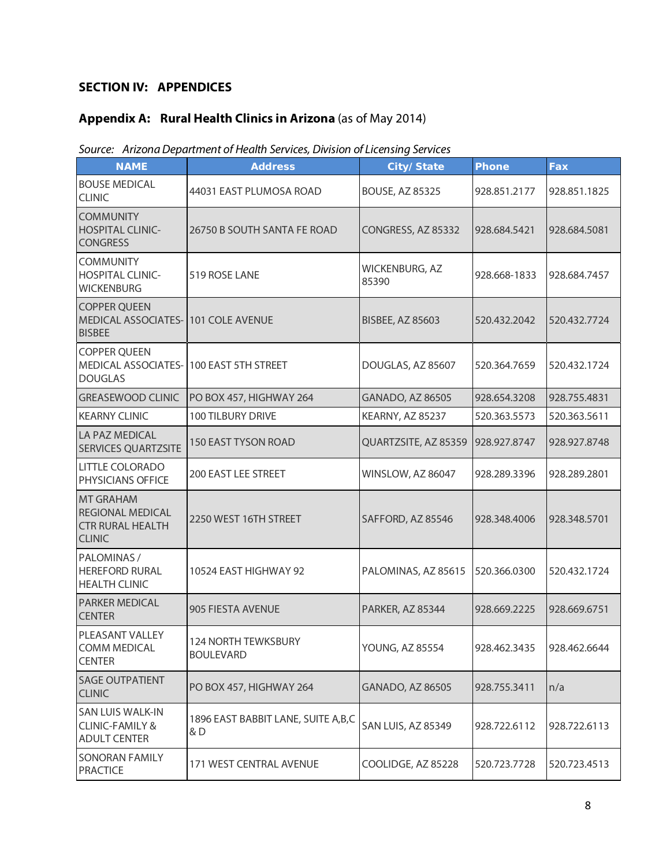# **SECTION IV: APPENDICES**

# **Appendix A: Rural Health Clinics in Arizona** (as of May 2014)

| <b>NAME</b>                                                                             | <b>Address</b>                                 | <b>City/State</b>         | Phone        | Fax          |
|-----------------------------------------------------------------------------------------|------------------------------------------------|---------------------------|--------------|--------------|
| <b>BOUSE MEDICAL</b><br><b>CLINIC</b>                                                   | 44031 EAST PLUMOSA ROAD                        | <b>BOUSE, AZ 85325</b>    | 928.851.2177 | 928.851.1825 |
| <b>COMMUNITY</b><br><b>HOSPITAL CLINIC-</b><br><b>CONGRESS</b>                          | 26750 B SOUTH SANTA FE ROAD                    | CONGRESS, AZ 85332        | 928.684.5421 | 928.684.5081 |
| <b>COMMUNITY</b><br><b>HOSPITAL CLINIC-</b><br><b>WICKENBURG</b>                        | 519 ROSE LANE                                  | WICKENBURG, AZ<br>85390   | 928.668-1833 | 928.684.7457 |
| <b>COPPER QUEEN</b><br><b>MEDICAL ASSOCIATES-</b><br><b>BISBEE</b>                      | 101 COLE AVENUE                                | <b>BISBEE, AZ 85603</b>   | 520.432.2042 | 520.432.7724 |
| <b>COPPER QUEEN</b><br>MEDICAL ASSOCIATES-<br><b>DOUGLAS</b>                            | 100 EAST 5TH STREET                            | DOUGLAS, AZ 85607         | 520.364.7659 | 520.432.1724 |
| <b>GREASEWOOD CLINIC</b>                                                                | PO BOX 457, HIGHWAY 264                        | GANADO, AZ 86505          | 928.654.3208 | 928.755.4831 |
| <b>KEARNY CLINIC</b>                                                                    | 100 TILBURY DRIVE                              | KEARNY, AZ 85237          | 520.363.5573 | 520.363.5611 |
| <b>LA PAZ MEDICAL</b><br><b>SERVICES QUARTZSITE</b>                                     | 150 EAST TYSON ROAD                            | QUARTZSITE, AZ 85359      | 928.927.8747 | 928.927.8748 |
| <b>LITTLE COLORADO</b><br>PHYSICIANS OFFICE                                             | 200 EAST LEE STREET                            | WINSLOW, AZ 86047         | 928.289.3396 | 928.289.2801 |
| <b>MT GRAHAM</b><br><b>REGIONAL MEDICAL</b><br><b>CTR RURAL HEALTH</b><br><b>CLINIC</b> | 2250 WEST 16TH STREET                          | SAFFORD, AZ 85546         | 928.348.4006 | 928.348.5701 |
| PALOMINAS /<br><b>HEREFORD RURAL</b><br><b>HEALTH CLINIC</b>                            | 10524 EAST HIGHWAY 92                          | PALOMINAS, AZ 85615       | 520.366.0300 | 520.432.1724 |
| <b>PARKER MEDICAL</b><br><b>CENTER</b>                                                  | 905 FIESTA AVENUE                              | PARKER, AZ 85344          | 928.669.2225 | 928.669.6751 |
| PLEASANT VALLEY<br>COMM MEDICAL<br><b>CENTER</b>                                        | <b>124 NORTH TEWKSBURY</b><br><b>BOULEVARD</b> | YOUNG, AZ 85554           | 928.462.3435 | 928.462.6644 |
| <b>SAGE OUTPATIENT</b><br><b>CLINIC</b>                                                 | PO BOX 457, HIGHWAY 264                        | <b>GANADO, AZ 86505</b>   | 928.755.3411 | n/a          |
| <b>SAN LUIS WALK-IN</b><br><b>CLINIC-FAMILY &amp;</b><br><b>ADULT CENTER</b>            | 1896 EAST BABBIT LANE, SUITE A, B, C<br>&D     | <b>SAN LUIS, AZ 85349</b> | 928.722.6112 | 928.722.6113 |
| <b>SONORAN FAMILY</b><br><b>PRACTICE</b>                                                | 171 WEST CENTRAL AVENUE                        | COOLIDGE, AZ 85228        | 520.723.7728 | 520.723.4513 |

| Source: Arizona Department of Health Services, Division of Licensing Services |  |
|-------------------------------------------------------------------------------|--|
|                                                                               |  |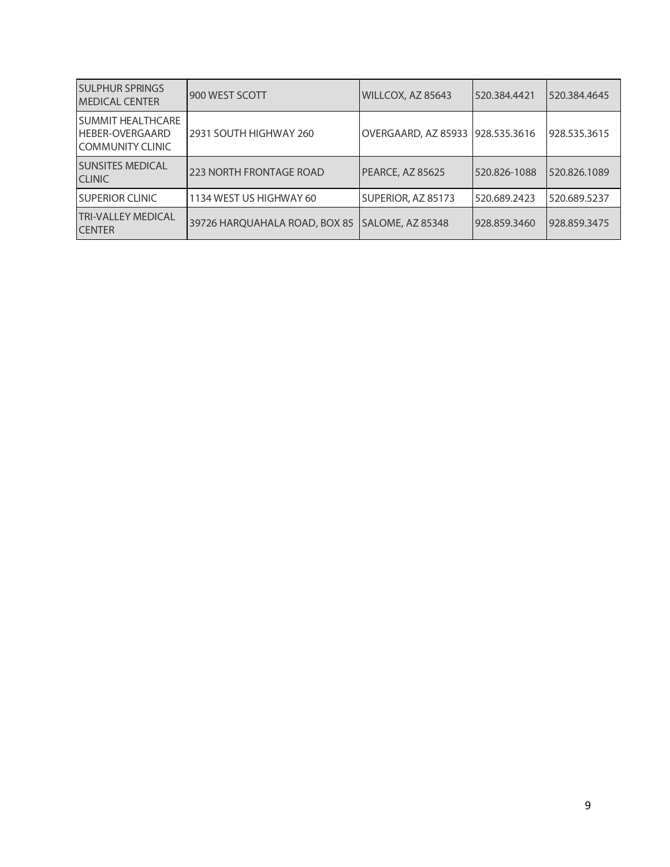| <b>SULPHUR SPRINGS</b><br><b>MEDICAL CENTER</b>          | 900 WEST SCOTT                | WILLCOX, AZ 85643   | 520.384.4421 | 520.384.4645 |
|----------------------------------------------------------|-------------------------------|---------------------|--------------|--------------|
| SUMMIT HEALTHCARE<br>HEBER-OVERGAARD<br>COMMUNITY CLINIC | 2931 SOUTH HIGHWAY 260        | OVERGAARD, AZ 85933 | 928.535.3616 | 928.535.3615 |
| <b>SUNSITES MEDICAL</b><br><b>CLINIC</b>                 | 223 NORTH FRONTAGE ROAD       | PEARCE, AZ 85625    | 520.826-1088 | 520.826.1089 |
| <b>SUPERIOR CLINIC</b>                                   | 1134 WEST US HIGHWAY 60       | SUPERIOR, AZ 85173  | 520.689.2423 | 520.689.5237 |
| <b>TRI-VALLEY MEDICAL</b><br><b>CENTER</b>               | 39726 HARQUAHALA ROAD, BOX 85 | SALOME, AZ 85348    | 928.859.3460 | 928.859.3475 |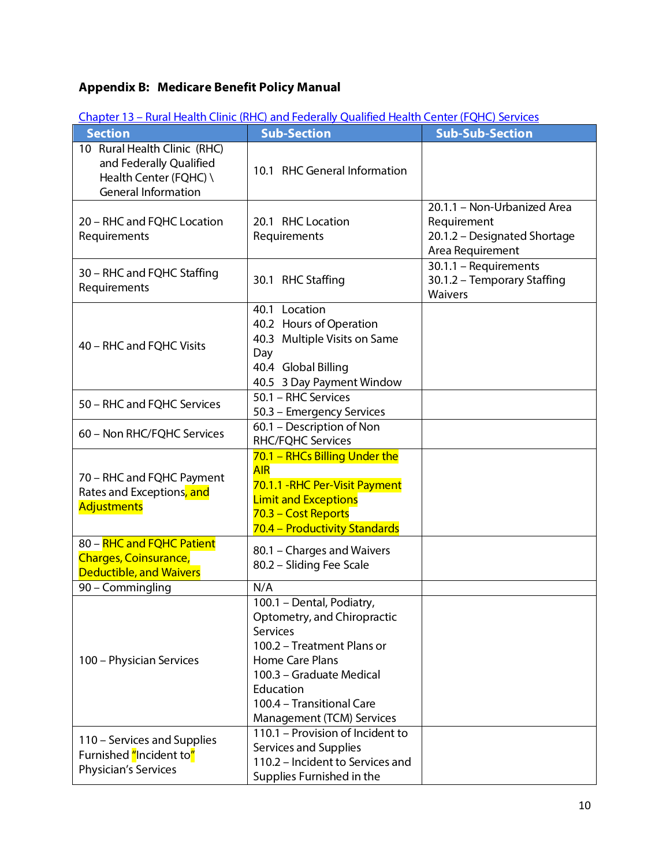# **Appendix B: Medicare Benefit Policy Manual**

| <b>Section</b>                                                                                                  | <u>Harar Health emile (Hille) and Federally Qualified Health eenter (FQHe) betyledd</u><br><b>Sub-Section</b>                                                                                                                          | <b>Sub-Sub-Section</b>                                                                         |
|-----------------------------------------------------------------------------------------------------------------|----------------------------------------------------------------------------------------------------------------------------------------------------------------------------------------------------------------------------------------|------------------------------------------------------------------------------------------------|
| 10 Rural Health Clinic (RHC)<br>and Federally Qualified<br>Health Center (FQHC) \<br><b>General Information</b> | 10.1 RHC General Information                                                                                                                                                                                                           |                                                                                                |
| 20 - RHC and FQHC Location<br>Requirements                                                                      | 20.1 RHC Location<br>Requirements                                                                                                                                                                                                      | 20.1.1 - Non-Urbanized Area<br>Requirement<br>20.1.2 - Designated Shortage<br>Area Requirement |
| 30 – RHC and FQHC Staffing<br>Requirements                                                                      | 30.1 RHC Staffing                                                                                                                                                                                                                      | 30.1.1 - Requirements<br>30.1.2 - Temporary Staffing<br>Waivers                                |
| 40 - RHC and FQHC Visits                                                                                        | 40.1 Location<br>40.2 Hours of Operation<br>40.3 Multiple Visits on Same<br>Day<br>40.4 Global Billing<br>40.5 3 Day Payment Window                                                                                                    |                                                                                                |
| 50 - RHC and FQHC Services                                                                                      | 50.1 - RHC Services<br>50.3 - Emergency Services                                                                                                                                                                                       |                                                                                                |
| 60 - Non RHC/FQHC Services                                                                                      | 60.1 - Description of Non<br>RHC/FQHC Services                                                                                                                                                                                         |                                                                                                |
| 70 - RHC and FQHC Payment<br>Rates and Exceptions, and<br>Adjustments                                           | 70.1 - RHCs Billing Under the<br><b>AIR</b><br>70.1.1 - RHC Per-Visit Payment<br><b>Limit and Exceptions</b><br>70.3 - Cost Reports<br>70.4 - Productivity Standards                                                                   |                                                                                                |
| 80 - RHC and FQHC Patient<br><b>Charges, Coinsurance,</b><br><b>Deductible, and Waivers</b>                     | 80.1 - Charges and Waivers<br>80.2 - Sliding Fee Scale                                                                                                                                                                                 |                                                                                                |
| 90 - Commingling                                                                                                | N/A                                                                                                                                                                                                                                    |                                                                                                |
| 100 - Physician Services                                                                                        | 100.1 - Dental, Podiatry,<br>Optometry, and Chiropractic<br><b>Services</b><br>100.2 - Treatment Plans or<br><b>Home Care Plans</b><br>100.3 - Graduate Medical<br>Education<br>100.4 - Transitional Care<br>Management (TCM) Services |                                                                                                |
| 110 – Services and Supplies<br>Furnished "Incident to"<br>Physician's Services                                  | 110.1 - Provision of Incident to<br>Services and Supplies<br>110.2 - Incident to Services and<br>Supplies Furnished in the                                                                                                             |                                                                                                |

Chapter 13 – [Rural Health Clinic \(RHC\) and Federally Qualified Health Center \(FQHC\) Services](http://www.cms.gov/Regulations-and-Guidance/Guidance/Manuals/Downloads/bp102c13.pdf)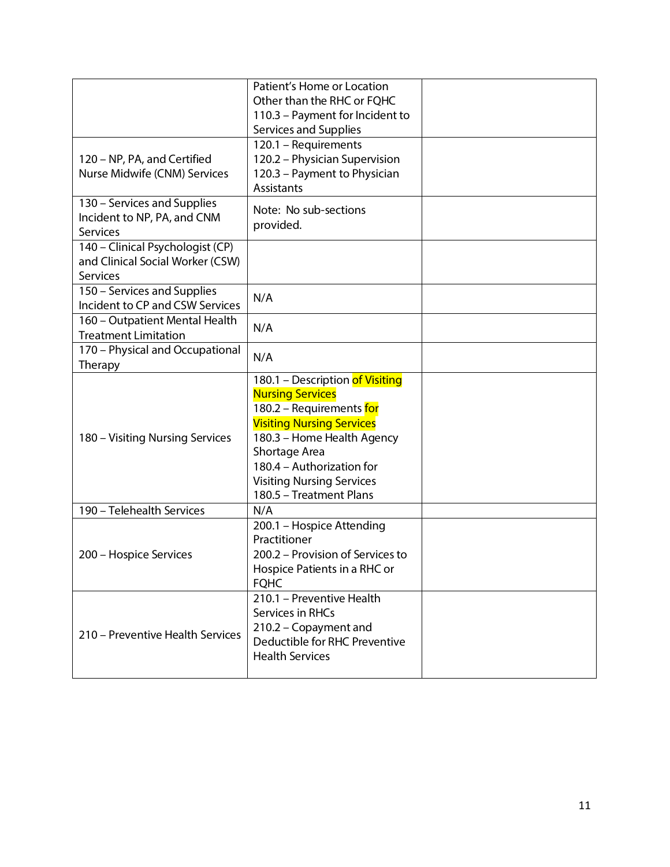|                                                                                  | Patient's Home or Location<br>Other than the RHC or FQHC<br>110.3 - Payment for Incident to<br>Services and Supplies                                                                                                                                                  |  |
|----------------------------------------------------------------------------------|-----------------------------------------------------------------------------------------------------------------------------------------------------------------------------------------------------------------------------------------------------------------------|--|
| 120 - NP, PA, and Certified<br>Nurse Midwife (CNM) Services                      | 120.1 - Requirements<br>120.2 - Physician Supervision<br>120.3 - Payment to Physician<br>Assistants                                                                                                                                                                   |  |
| 130 – Services and Supplies<br>Incident to NP, PA, and CNM<br>Services           | Note: No sub-sections<br>provided.                                                                                                                                                                                                                                    |  |
| 140 - Clinical Psychologist (CP)<br>and Clinical Social Worker (CSW)<br>Services |                                                                                                                                                                                                                                                                       |  |
| 150 - Services and Supplies<br>Incident to CP and CSW Services                   | N/A                                                                                                                                                                                                                                                                   |  |
| 160 - Outpatient Mental Health<br><b>Treatment Limitation</b>                    | N/A                                                                                                                                                                                                                                                                   |  |
| 170 - Physical and Occupational<br>Therapy                                       | N/A                                                                                                                                                                                                                                                                   |  |
| 180 - Visiting Nursing Services                                                  | 180.1 – Description of Visiting<br><b>Nursing Services</b><br>180.2 – Requirements for<br><b>Visiting Nursing Services</b><br>180.3 - Home Health Agency<br>Shortage Area<br>180.4 - Authorization for<br><b>Visiting Nursing Services</b><br>180.5 - Treatment Plans |  |
| 190 - Telehealth Services                                                        | N/A                                                                                                                                                                                                                                                                   |  |
| 200 - Hospice Services                                                           | 200.1 - Hospice Attending<br>Practitioner<br>200.2 - Provision of Services to<br>Hospice Patients in a RHC or<br><b>FQHC</b>                                                                                                                                          |  |
| 210 - Preventive Health Services                                                 | 210.1 - Preventive Health<br>Services in RHCs<br>210.2 - Copayment and<br>Deductible for RHC Preventive<br><b>Health Services</b>                                                                                                                                     |  |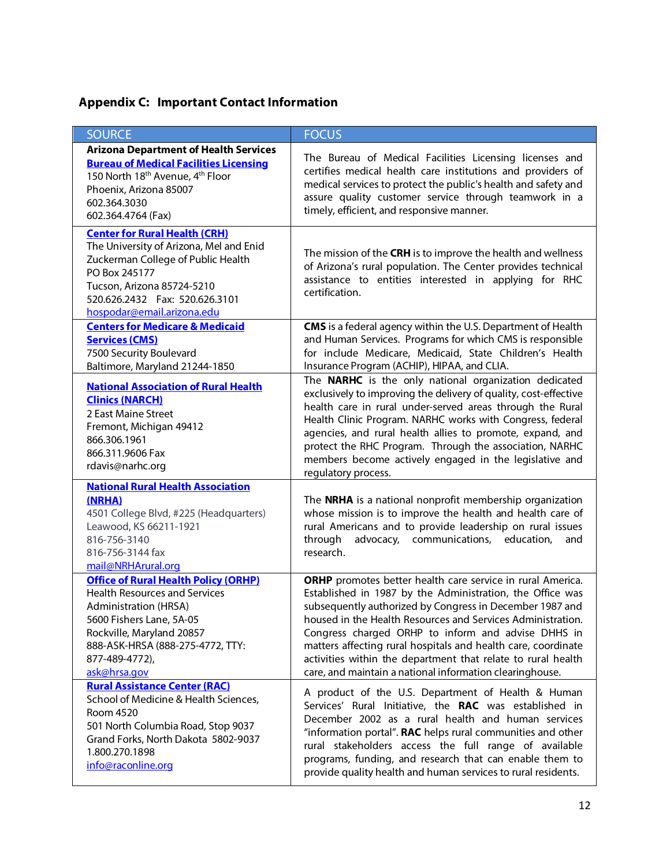# **Appendix C: Important Contact Information**

| <b>SOURCE</b>                                                                                                                                                                                                                         | <b>FOCUS</b>                                                                                                                                                                                                                                                                                                                                                                                                                                                 |
|---------------------------------------------------------------------------------------------------------------------------------------------------------------------------------------------------------------------------------------|--------------------------------------------------------------------------------------------------------------------------------------------------------------------------------------------------------------------------------------------------------------------------------------------------------------------------------------------------------------------------------------------------------------------------------------------------------------|
| <b>Arizona Department of Health Services</b><br><b>Bureau of Medical Facilities Licensing</b><br>150 North 18 <sup>th</sup> Avenue, 4 <sup>th</sup> Floor<br>Phoenix, Arizona 85007<br>602.364.3030<br>602.364.4764 (Fax)             | The Bureau of Medical Facilities Licensing licenses and<br>certifies medical health care institutions and providers of<br>medical services to protect the public's health and safety and<br>assure quality customer service through teamwork in a<br>timely, efficient, and responsive manner.                                                                                                                                                               |
| <b>Center for Rural Health (CRH)</b><br>The University of Arizona, Mel and Enid<br>Zuckerman College of Public Health<br>PO Box 245177<br>Tucson, Arizona 85724-5210<br>520.626.2432  Fax: 520.626.3101<br>hospodar@email.arizona.edu | The mission of the CRH is to improve the health and wellness<br>of Arizona's rural population. The Center provides technical<br>assistance to entities interested in applying for RHC<br>certification.                                                                                                                                                                                                                                                      |
| <b>Centers for Medicare &amp; Medicaid</b>                                                                                                                                                                                            | <b>CMS</b> is a federal agency within the U.S. Department of Health                                                                                                                                                                                                                                                                                                                                                                                          |
| <b>Services (CMS)</b>                                                                                                                                                                                                                 | and Human Services. Programs for which CMS is responsible                                                                                                                                                                                                                                                                                                                                                                                                    |
| 7500 Security Boulevard                                                                                                                                                                                                               | for include Medicare, Medicaid, State Children's Health                                                                                                                                                                                                                                                                                                                                                                                                      |
| Baltimore, Maryland 21244-1850                                                                                                                                                                                                        | Insurance Program (ACHIP), HIPAA, and CLIA.                                                                                                                                                                                                                                                                                                                                                                                                                  |
| <b>National Association of Rural Health</b><br><b>Clinics (NARCH)</b><br>2 East Maine Street<br>Fremont, Michigan 49412<br>866.306.1961<br>866.311.9606 Fax<br>rdavis@narhc.org                                                       | The NARHC is the only national organization dedicated<br>exclusively to improving the delivery of quality, cost-effective<br>health care in rural under-served areas through the Rural<br>Health Clinic Program. NARHC works with Congress, federal<br>agencies, and rural health allies to promote, expand, and<br>protect the RHC Program. Through the association, NARHC<br>members become actively engaged in the legislative and<br>regulatory process. |
| <b>National Rural Health Association</b>                                                                                                                                                                                              | The NRHA is a national nonprofit membership organization                                                                                                                                                                                                                                                                                                                                                                                                     |
| (NRHA)                                                                                                                                                                                                                                | whose mission is to improve the health and health care of                                                                                                                                                                                                                                                                                                                                                                                                    |
| 4501 College Blvd, #225 (Headquarters)                                                                                                                                                                                                | rural Americans and to provide leadership on rural issues                                                                                                                                                                                                                                                                                                                                                                                                    |
| Leawood, KS 66211-1921                                                                                                                                                                                                                | advocacy, communications, education,                                                                                                                                                                                                                                                                                                                                                                                                                         |
| 816-756-3140                                                                                                                                                                                                                          | through                                                                                                                                                                                                                                                                                                                                                                                                                                                      |
| 816-756-3144 fax                                                                                                                                                                                                                      | and                                                                                                                                                                                                                                                                                                                                                                                                                                                          |
| mail@NRHArural.org                                                                                                                                                                                                                    | research.                                                                                                                                                                                                                                                                                                                                                                                                                                                    |
| <b>Office of Rural Health Policy (ORHP)</b>                                                                                                                                                                                           | ORHP promotes better health care service in rural America.                                                                                                                                                                                                                                                                                                                                                                                                   |
| <b>Health Resources and Services</b>                                                                                                                                                                                                  | Established in 1987 by the Administration, the Office was                                                                                                                                                                                                                                                                                                                                                                                                    |
| <b>Administration (HRSA)</b>                                                                                                                                                                                                          | subsequently authorized by Congress in December 1987 and                                                                                                                                                                                                                                                                                                                                                                                                     |
| 5600 Fishers Lane, 5A-05                                                                                                                                                                                                              | housed in the Health Resources and Services Administration.                                                                                                                                                                                                                                                                                                                                                                                                  |
| Rockville, Maryland 20857                                                                                                                                                                                                             | Congress charged ORHP to inform and advise DHHS in                                                                                                                                                                                                                                                                                                                                                                                                           |
| 888-ASK-HRSA (888-275-4772, TTY:                                                                                                                                                                                                      | matters affecting rural hospitals and health care, coordinate                                                                                                                                                                                                                                                                                                                                                                                                |
| 877-489-4772),                                                                                                                                                                                                                        | activities within the department that relate to rural health                                                                                                                                                                                                                                                                                                                                                                                                 |
| ask@hrsa.qov                                                                                                                                                                                                                          | care, and maintain a national information clearinghouse.                                                                                                                                                                                                                                                                                                                                                                                                     |
| <b>Rural Assistance Center (RAC)</b>                                                                                                                                                                                                  | A product of the U.S. Department of Health & Human                                                                                                                                                                                                                                                                                                                                                                                                           |
| School of Medicine & Health Sciences,                                                                                                                                                                                                 | Services' Rural Initiative, the RAC was established in                                                                                                                                                                                                                                                                                                                                                                                                       |
| Room 4520                                                                                                                                                                                                                             | December 2002 as a rural health and human services                                                                                                                                                                                                                                                                                                                                                                                                           |
| 501 North Columbia Road, Stop 9037                                                                                                                                                                                                    | "information portal". RAC helps rural communities and other                                                                                                                                                                                                                                                                                                                                                                                                  |
| Grand Forks, North Dakota 5802-9037                                                                                                                                                                                                   | rural stakeholders access the full range of available                                                                                                                                                                                                                                                                                                                                                                                                        |
| 1.800.270.1898                                                                                                                                                                                                                        | programs, funding, and research that can enable them to                                                                                                                                                                                                                                                                                                                                                                                                      |
| info@raconline.org                                                                                                                                                                                                                    | provide quality health and human services to rural residents.                                                                                                                                                                                                                                                                                                                                                                                                |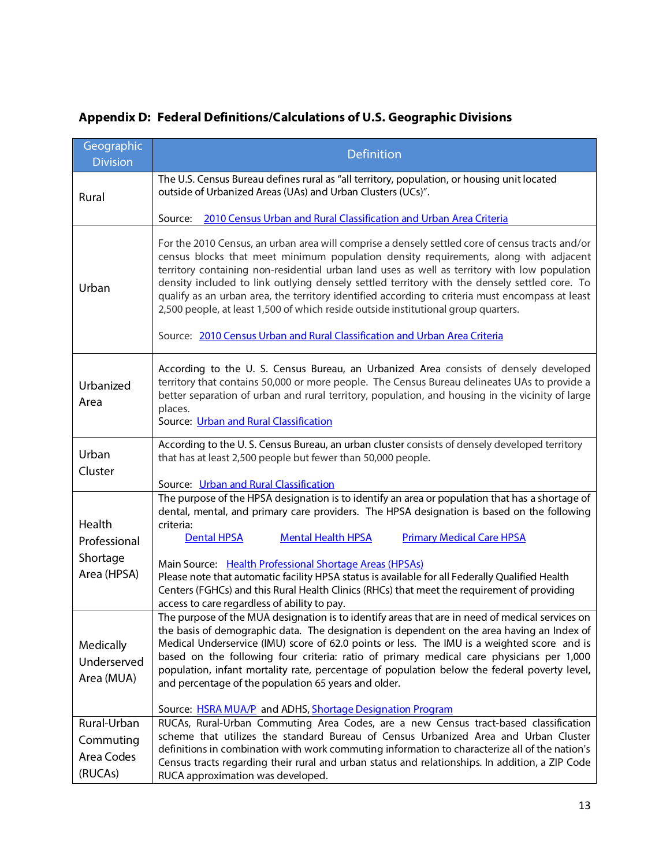| Geographic<br><b>Division</b>          | <b>Definition</b>                                                                                                                                                                                                                                                                                                                                                                                                                                                                                                                                                                                                                                                 |
|----------------------------------------|-------------------------------------------------------------------------------------------------------------------------------------------------------------------------------------------------------------------------------------------------------------------------------------------------------------------------------------------------------------------------------------------------------------------------------------------------------------------------------------------------------------------------------------------------------------------------------------------------------------------------------------------------------------------|
| Rural                                  | The U.S. Census Bureau defines rural as "all territory, population, or housing unit located<br>outside of Urbanized Areas (UAs) and Urban Clusters (UCs)".                                                                                                                                                                                                                                                                                                                                                                                                                                                                                                        |
|                                        | 2010 Census Urban and Rural Classification and Urban Area Criteria<br>Source:                                                                                                                                                                                                                                                                                                                                                                                                                                                                                                                                                                                     |
| Urban                                  | For the 2010 Census, an urban area will comprise a densely settled core of census tracts and/or<br>census blocks that meet minimum population density requirements, along with adjacent<br>territory containing non-residential urban land uses as well as territory with low population<br>density included to link outlying densely settled territory with the densely settled core. To<br>qualify as an urban area, the territory identified according to criteria must encompass at least<br>2,500 people, at least 1,500 of which reside outside institutional group quarters.<br>Source: 2010 Census Urban and Rural Classification and Urban Area Criteria |
| Urbanized<br>Area                      | According to the U. S. Census Bureau, an Urbanized Area consists of densely developed<br>territory that contains 50,000 or more people. The Census Bureau delineates UAs to provide a<br>better separation of urban and rural territory, population, and housing in the vicinity of large<br>places.<br>Source: Urban and Rural Classification                                                                                                                                                                                                                                                                                                                    |
| Urban<br>Cluster                       | According to the U.S. Census Bureau, an urban cluster consists of densely developed territory<br>that has at least 2,500 people but fewer than 50,000 people.                                                                                                                                                                                                                                                                                                                                                                                                                                                                                                     |
|                                        | Source: Urban and Rural Classification                                                                                                                                                                                                                                                                                                                                                                                                                                                                                                                                                                                                                            |
| Health                                 | The purpose of the HPSA designation is to identify an area or population that has a shortage of<br>dental, mental, and primary care providers. The HPSA designation is based on the following<br>criteria:<br><b>Mental Health HPSA</b><br><b>Dental HPSA</b><br><b>Primary Medical Care HPSA</b>                                                                                                                                                                                                                                                                                                                                                                 |
| Professional<br>Shortage               |                                                                                                                                                                                                                                                                                                                                                                                                                                                                                                                                                                                                                                                                   |
| Area (HPSA)                            | Main Source: Health Professional Shortage Areas (HPSAs)<br>Please note that automatic facility HPSA status is available for all Federally Qualified Health<br>Centers (FGHCs) and this Rural Health Clinics (RHCs) that meet the requirement of providing<br>access to care regardless of ability to pay.                                                                                                                                                                                                                                                                                                                                                         |
| Medically<br>Underserved<br>Area (MUA) | The purpose of the MUA designation is to identify areas that are in need of medical services on<br>the basis of demographic data. The designation is dependent on the area having an Index of<br>Medical Underservice (IMU) score of 62.0 points or less. The IMU is a weighted score and is<br>based on the following four criteria: ratio of primary medical care physicians per 1,000<br>population, infant mortality rate, percentage of population below the federal poverty level,<br>and percentage of the population 65 years and older.<br>Source: HSRA MUA/P and ADHS, Shortage Designation Program                                                     |
| Rural-Urban<br>Commuting               | RUCAs, Rural-Urban Commuting Area Codes, are a new Census tract-based classification<br>scheme that utilizes the standard Bureau of Census Urbanized Area and Urban Cluster                                                                                                                                                                                                                                                                                                                                                                                                                                                                                       |
| Area Codes<br>(RUCAs)                  | definitions in combination with work commuting information to characterize all of the nation's<br>Census tracts regarding their rural and urban status and relationships. In addition, a ZIP Code<br>RUCA approximation was developed.                                                                                                                                                                                                                                                                                                                                                                                                                            |

# **Appendix D: Federal Definitions/Calculations of U.S. Geographic Divisions**